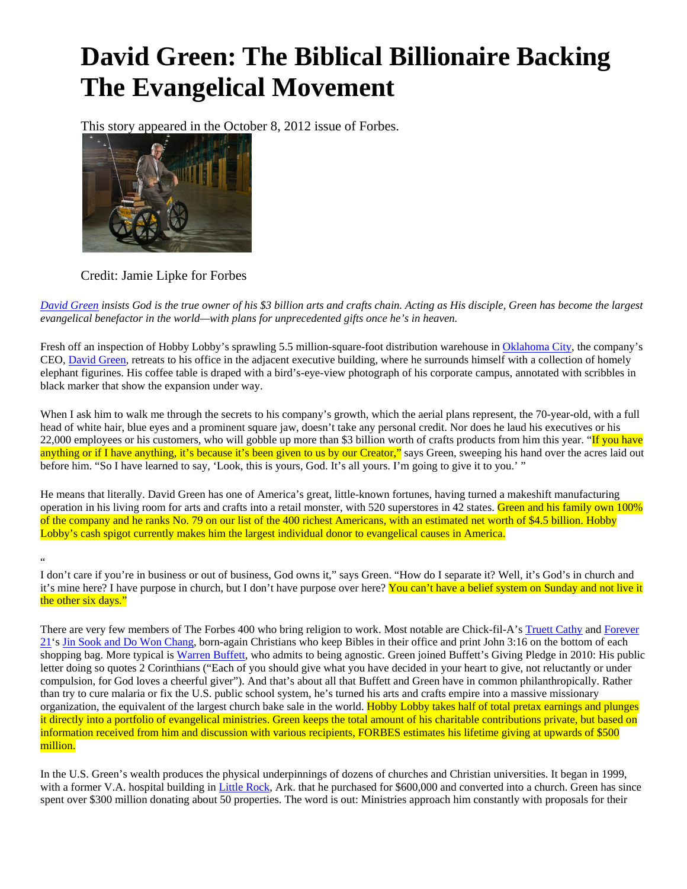# **David Green: The Biblical Billionaire Backing The Evangelical Movement**

This story appeared in the October 8, 2012 issue of Forbes.



## Credit: Jamie Lipke for Forbes

*David Green insists God is the true owner of his \$3 billion arts and crafts chain. Acting as His disciple, Green has become the largest evangelical benefactor in the world—with plans for unprecedented gifts once he's in heaven.*

Fresh off an inspection of Hobby Lobby's sprawling 5.5 million-square-foot distribution warehouse in Oklahoma City, the company's CEO, David Green, retreats to his office in the adjacent executive building, where he surrounds himself with a collection of homely elephant figurines. His coffee table is draped with a bird's-eye-view photograph of his corporate campus, annotated with scribbles in black marker that show the expansion under way.

When I ask him to walk me through the secrets to his company's growth, which the aerial plans represent, the 70-year-old, with a full head of white hair, blue eyes and a prominent square jaw, doesn't take any personal credit. Nor does he laud his executives or his 22,000 employees or his customers, who will gobble up more than \$3 billion worth of crafts products from him this year. "If you have anything or if I have anything, it's because it's been given to us by our Creator," says Green, sweeping his hand over the acres laid out before him. "So I have learned to say, 'Look, this is yours, God. It's all yours. I'm going to give it to you.' "

He means that literally. David Green has one of America's great, little-known fortunes, having turned a makeshift manufacturing operation in his living room for arts and crafts into a retail monster, with 520 superstores in 42 states. Green and his family own 100% of the company and he ranks No. 79 on our list of the 400 richest Americans, with an estimated net worth of \$4.5 billion. Hobby Lobby's cash spigot currently makes him the largest individual donor to evangelical causes in America.

### $\ddot{\phantom{a}}$

I don't care if you're in business or out of business, God owns it," says Green. "How do I separate it? Well, it's God's in church and it's mine here? I have purpose in church, but I don't have purpose over here? You can't have a belief system on Sunday and not live it the other six days."

There are very few members of The Forbes 400 who bring religion to work. Most notable are Chick-fil-A's Truett Cathy and Forever 21's Jin Sook and Do Won Chang, born-again Christians who keep Bibles in their office and print John 3:16 on the bottom of each shopping bag. More typical is Warren Buffett, who admits to being agnostic. Green joined Buffett's Giving Pledge in 2010: His public letter doing so quotes 2 Corinthians ("Each of you should give what you have decided in your heart to give, not reluctantly or under compulsion, for God loves a cheerful giver"). And that's about all that Buffett and Green have in common philanthropically. Rather than try to cure malaria or fix the U.S. public school system, he's turned his arts and crafts empire into a massive missionary organization, the equivalent of the largest church bake sale in the world. Hobby Lobby takes half of total pretax earnings and plunges it directly into a portfolio of evangelical ministries. Green keeps the total amount of his charitable contributions private, but based on information received from him and discussion with various recipients, FORBES estimates his lifetime giving at upwards of \$500 million.

In the U.S. Green's wealth produces the physical underpinnings of dozens of churches and Christian universities. It began in 1999, with a former V.A. hospital building in *Little Rock*, Ark. that he purchased for \$600,000 and converted into a church. Green has since spent over \$300 million donating about 50 properties. The word is out: Ministries approach him constantly with proposals for their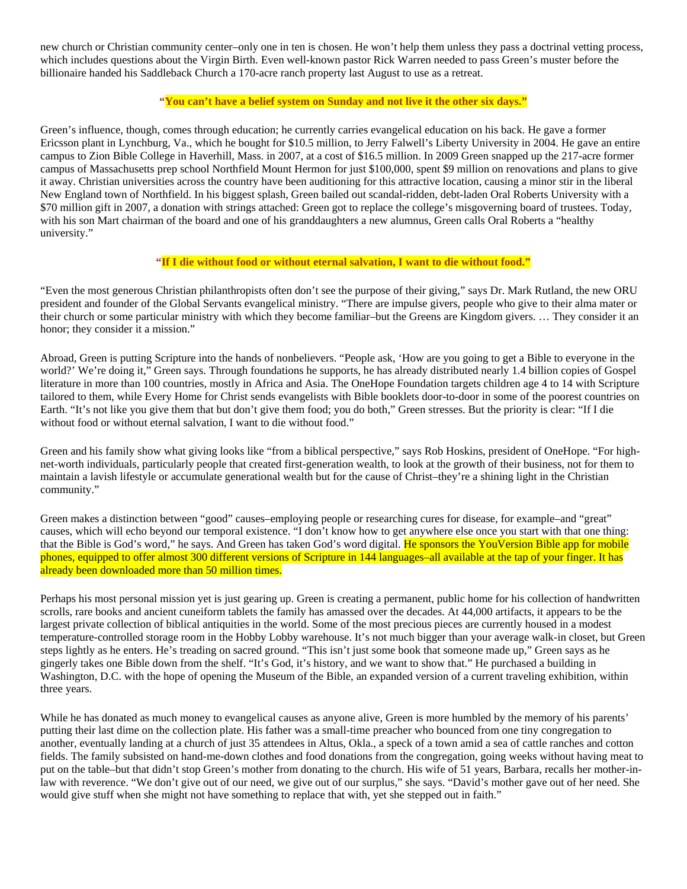new church or Christian community center–only one in ten is chosen. He won't help them unless they pass a doctrinal vetting process, which includes questions about the Virgin Birth. Even well-known pastor Rick Warren needed to pass Green's muster before the billionaire handed his Saddleback Church a 170-acre ranch property last August to use as a retreat.

#### **"You can't have a belief system on Sunday and not live it the other six days."**

Green's influence, though, comes through education; he currently carries evangelical education on his back. He gave a former Ericsson plant in Lynchburg, Va., which he bought for \$10.5 million, to Jerry Falwell's Liberty University in 2004. He gave an entire campus to Zion Bible College in Haverhill, Mass. in 2007, at a cost of \$16.5 million. In 2009 Green snapped up the 217-acre former campus of Massachusetts prep school Northfield Mount Hermon for just \$100,000, spent \$9 million on renovations and plans to give it away. Christian universities across the country have been auditioning for this attractive location, causing a minor stir in the liberal New England town of Northfield. In his biggest splash, Green bailed out scandal-ridden, debt-laden Oral Roberts University with a \$70 million gift in 2007, a donation with strings attached: Green got to replace the college's misgoverning board of trustees. Today, with his son Mart chairman of the board and one of his granddaughters a new alumnus, Green calls Oral Roberts a "healthy university."

### **"If I die without food or without eternal salvation, I want to die without food."**

"Even the most generous Christian philanthropists often don't see the purpose of their giving," says Dr. Mark Rutland, the new ORU president and founder of the Global Servants evangelical ministry. "There are impulse givers, people who give to their alma mater or their church or some particular ministry with which they become familiar–but the Greens are Kingdom givers. … They consider it an honor; they consider it a mission."

Abroad, Green is putting Scripture into the hands of nonbelievers. "People ask, 'How are you going to get a Bible to everyone in the world?' We're doing it," Green says. Through foundations he supports, he has already distributed nearly 1.4 billion copies of Gospel literature in more than 100 countries, mostly in Africa and Asia. The OneHope Foundation targets children age 4 to 14 with Scripture tailored to them, while Every Home for Christ sends evangelists with Bible booklets door-to-door in some of the poorest countries on Earth. "It's not like you give them that but don't give them food; you do both," Green stresses. But the priority is clear: "If I die without food or without eternal salvation, I want to die without food."

Green and his family show what giving looks like "from a biblical perspective," says Rob Hoskins, president of OneHope. "For highnet-worth individuals, particularly people that created first-generation wealth, to look at the growth of their business, not for them to maintain a lavish lifestyle or accumulate generational wealth but for the cause of Christ–they're a shining light in the Christian community."

Green makes a distinction between "good" causes–employing people or researching cures for disease, for example–and "great" causes, which will echo beyond our temporal existence. "I don't know how to get anywhere else once you start with that one thing: that the Bible is God's word," he says. And Green has taken God's word digital. He sponsors the YouVersion Bible app for mobile phones, equipped to offer almost 300 different versions of Scripture in 144 languages–all available at the tap of your finger. It has already been downloaded more than 50 million times.

Perhaps his most personal mission yet is just gearing up. Green is creating a permanent, public home for his collection of handwritten scrolls, rare books and ancient cuneiform tablets the family has amassed over the decades. At 44,000 artifacts, it appears to be the largest private collection of biblical antiquities in the world. Some of the most precious pieces are currently housed in a modest temperature-controlled storage room in the Hobby Lobby warehouse. It's not much bigger than your average walk-in closet, but Green steps lightly as he enters. He's treading on sacred ground. "This isn't just some book that someone made up," Green says as he gingerly takes one Bible down from the shelf. "It's God, it's history, and we want to show that." He purchased a building in Washington, D.C. with the hope of opening the Museum of the Bible, an expanded version of a current traveling exhibition, within three years.

While he has donated as much money to evangelical causes as anyone alive, Green is more humbled by the memory of his parents' putting their last dime on the collection plate. His father was a small-time preacher who bounced from one tiny congregation to another, eventually landing at a church of just 35 attendees in Altus, Okla., a speck of a town amid a sea of cattle ranches and cotton fields. The family subsisted on hand-me-down clothes and food donations from the congregation, going weeks without having meat to put on the table–but that didn't stop Green's mother from donating to the church. His wife of 51 years, Barbara, recalls her mother-inlaw with reverence. "We don't give out of our need, we give out of our surplus," she says. "David's mother gave out of her need. She would give stuff when she might not have something to replace that with, yet she stepped out in faith."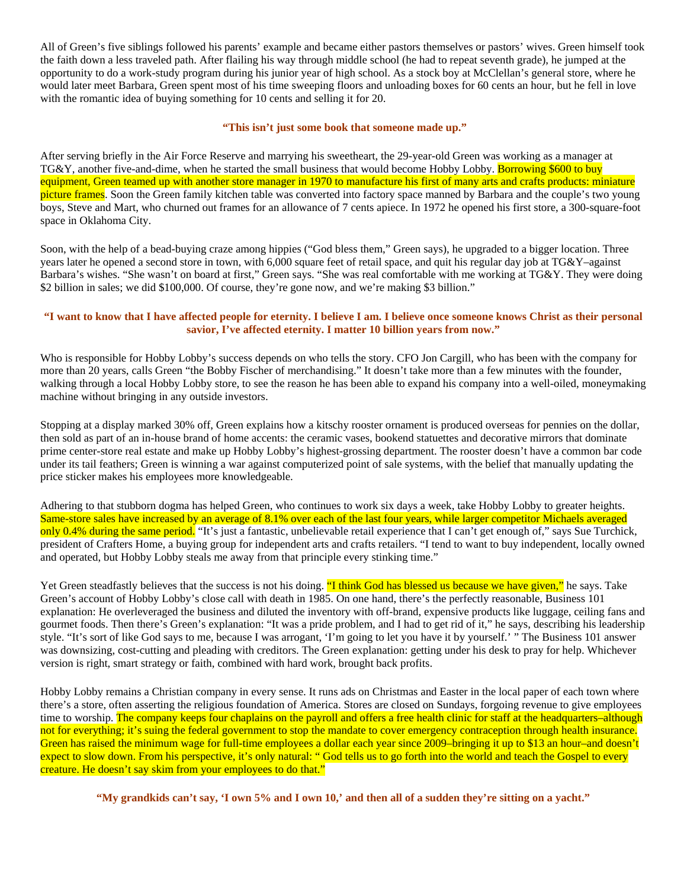All of Green's five siblings followed his parents' example and became either pastors themselves or pastors' wives. Green himself took the faith down a less traveled path. After flailing his way through middle school (he had to repeat seventh grade), he jumped at the opportunity to do a work-study program during his junior year of high school. As a stock boy at McClellan's general store, where he would later meet Barbara, Green spent most of his time sweeping floors and unloading boxes for 60 cents an hour, but he fell in love with the romantic idea of buying something for 10 cents and selling it for 20.

#### **"This isn't just some book that someone made up."**

After serving briefly in the Air Force Reserve and marrying his sweetheart, the 29-year-old Green was working as a manager at TG&Y, another five-and-dime, when he started the small business that would become Hobby Lobby. Borrowing \$600 to buy equipment, Green teamed up with another store manager in 1970 to manufacture his first of many arts and crafts products: miniature picture frames. Soon the Green family kitchen table was converted into factory space manned by Barbara and the couple's two young boys, Steve and Mart, who churned out frames for an allowance of 7 cents apiece. In 1972 he opened his first store, a 300-square-foot space in Oklahoma City.

Soon, with the help of a bead-buying craze among hippies ("God bless them," Green says), he upgraded to a bigger location. Three years later he opened a second store in town, with 6,000 square feet of retail space, and quit his regular day job at TG&Y–against Barbara's wishes. "She wasn't on board at first," Green says. "She was real comfortable with me working at TG&Y. They were doing \$2 billion in sales; we did \$100,000. Of course, they're gone now, and we're making \$3 billion."

### **"I want to know that I have affected people for eternity. I believe I am. I believe once someone knows Christ as their personal savior, I've affected eternity. I matter 10 billion years from now."**

Who is responsible for Hobby Lobby's success depends on who tells the story. CFO Jon Cargill, who has been with the company for more than 20 years, calls Green "the Bobby Fischer of merchandising." It doesn't take more than a few minutes with the founder, walking through a local Hobby Lobby store, to see the reason he has been able to expand his company into a well-oiled, moneymaking machine without bringing in any outside investors.

Stopping at a display marked 30% off, Green explains how a kitschy rooster ornament is produced overseas for pennies on the dollar, then sold as part of an in-house brand of home accents: the ceramic vases, bookend statuettes and decorative mirrors that dominate prime center-store real estate and make up Hobby Lobby's highest-grossing department. The rooster doesn't have a common bar code under its tail feathers; Green is winning a war against computerized point of sale systems, with the belief that manually updating the price sticker makes his employees more knowledgeable.

Adhering to that stubborn dogma has helped Green, who continues to work six days a week, take Hobby Lobby to greater heights. Same-store sales have increased by an average of 8.1% over each of the last four years, while larger competitor Michaels averaged only 0.4% during the same period. "It's just a fantastic, unbelievable retail experience that I can't get enough of," says Sue Turchick, president of Crafters Home, a buying group for independent arts and crafts retailers. "I tend to want to buy independent, locally owned and operated, but Hobby Lobby steals me away from that principle every stinking time."

Yet Green steadfastly believes that the success is not his doing. "I think God has blessed us because we have given," he says. Take Green's account of Hobby Lobby's close call with death in 1985. On one hand, there's the perfectly reasonable, Business 101 explanation: He overleveraged the business and diluted the inventory with off-brand, expensive products like luggage, ceiling fans and gourmet foods. Then there's Green's explanation: "It was a pride problem, and I had to get rid of it," he says, describing his leadership style. "It's sort of like God says to me, because I was arrogant, 'I'm going to let you have it by yourself.' " The Business 101 answer was downsizing, cost-cutting and pleading with creditors. The Green explanation: getting under his desk to pray for help. Whichever version is right, smart strategy or faith, combined with hard work, brought back profits.

Hobby Lobby remains a Christian company in every sense. It runs ads on Christmas and Easter in the local paper of each town where there's a store, often asserting the religious foundation of America. Stores are closed on Sundays, forgoing revenue to give employees time to worship. The company keeps four chaplains on the payroll and offers a free health clinic for staff at the headquarters–although not for everything; it's suing the federal government to stop the mandate to cover emergency contraception through health insurance. Green has raised the minimum wage for full-time employees a dollar each year since 2009–bringing it up to \$13 an hour–and doesn't expect to slow down. From his perspective, it's only natural: "God tells us to go forth into the world and teach the Gospel to every creature. He doesn't say skim from your employees to do that."

**"My grandkids can't say, 'I own 5% and I own 10,' and then all of a sudden they're sitting on a yacht."**